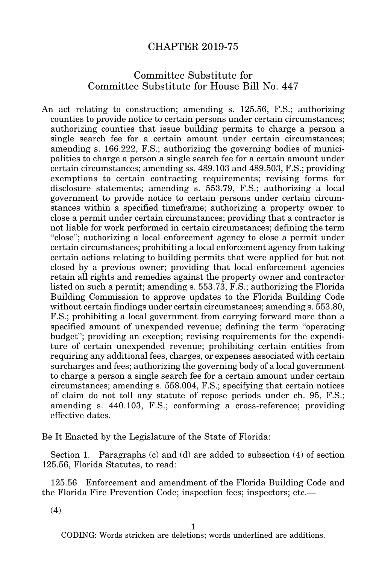## CHAPTER 2019-75

## Committee Substitute for Committee Substitute for House Bill No. 447

An act relating to construction; amending s. 125.56, F.S.; authorizing counties to provide notice to certain persons under certain circumstances; authorizing counties that issue building permits to charge a person a single search fee for a certain amount under certain circumstances; amending s. 166.222, F.S.; authorizing the governing bodies of municipalities to charge a person a single search fee for a certain amount under certain circumstances; amending ss. 489.103 and 489.503, F.S.; providing exemptions to certain contracting requirements; revising forms for disclosure statements; amending s. 553.79, F.S.; authorizing a local government to provide notice to certain persons under certain circumstances within a specified timeframe; authorizing a property owner to close a permit under certain circumstances; providing that a contractor is not liable for work performed in certain circumstances; defining the term "close"; authorizing a local enforcement agency to close a permit under certain circumstances; prohibiting a local enforcement agency from taking certain actions relating to building permits that were applied for but not closed by a previous owner; providing that local enforcement agencies retain all rights and remedies against the property owner and contractor listed on such a permit; amending s. 553.73, F.S.; authorizing the Florida Building Commission to approve updates to the Florida Building Code without certain findings under certain circumstances; amending s. 553.80, F.S.; prohibiting a local government from carrying forward more than a specified amount of unexpended revenue; defining the term "operating budget"; providing an exception; revising requirements for the expenditure of certain unexpended revenue; prohibiting certain entities from requiring any additional fees, charges, or expenses associated with certain surcharges and fees; authorizing the governing body of a local government to charge a person a single search fee for a certain amount under certain circumstances; amending s. 558.004, F.S.; specifying that certain notices of claim do not toll any statute of repose periods under ch. 95, F.S.; amending s. 440.103, F.S.; conforming a cross-reference; providing effective dates.

Be It Enacted by the Legislature of the State of Florida:

Section 1. Paragraphs (c) and (d) are added to subsection (4) of section 125.56, Florida Statutes, to read:

125.56 Enforcement and amendment of the Florida Building Code and the Florida Fire Prevention Code; inspection fees; inspectors; etc.—

(4)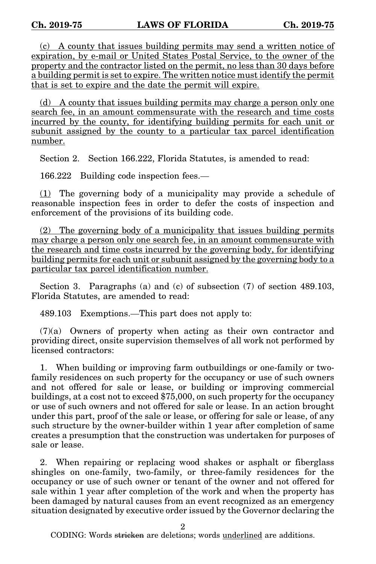(c) A county that issues building permits may send a written notice of expiration, by e-mail or United States Postal Service, to the owner of the property and the contractor listed on the permit, no less than 30 days before a building permit is set to expire. The written notice must identify the permit that is set to expire and the date the permit will expire.

(d) A county that issues building permits may charge a person only one search fee, in an amount commensurate with the research and time costs incurred by the county, for identifying building permits for each unit or subunit assigned by the county to a particular tax parcel identification number.

Section 2. Section 166.222, Florida Statutes, is amended to read:

166.222 Building code inspection fees.—

(1) The governing body of a municipality may provide a schedule of reasonable inspection fees in order to defer the costs of inspection and enforcement of the provisions of its building code.

(2) The governing body of a municipality that issues building permits may charge a person only one search fee, in an amount commensurate with the research and time costs incurred by the governing body, for identifying building permits for each unit or subunit assigned by the governing body to a particular tax parcel identification number.

Section 3. Paragraphs (a) and (c) of subsection (7) of section 489.103, Florida Statutes, are amended to read:

489.103 Exemptions.—This part does not apply to:

(7)(a) Owners of property when acting as their own contractor and providing direct, onsite supervision themselves of all work not performed by licensed contractors:

1. When building or improving farm outbuildings or one-family or twofamily residences on such property for the occupancy or use of such owners and not offered for sale or lease, or building or improving commercial buildings, at a cost not to exceed \$75,000, on such property for the occupancy or use of such owners and not offered for sale or lease. In an action brought under this part, proof of the sale or lease, or offering for sale or lease, of any such structure by the owner-builder within 1 year after completion of same creates a presumption that the construction was undertaken for purposes of sale or lease.

2. When repairing or replacing wood shakes or asphalt or fiberglass shingles on one-family, two-family, or three-family residences for the occupancy or use of such owner or tenant of the owner and not offered for sale within 1 year after completion of the work and when the property has been damaged by natural causes from an event recognized as an emergency situation designated by executive order issued by the Governor declaring the

2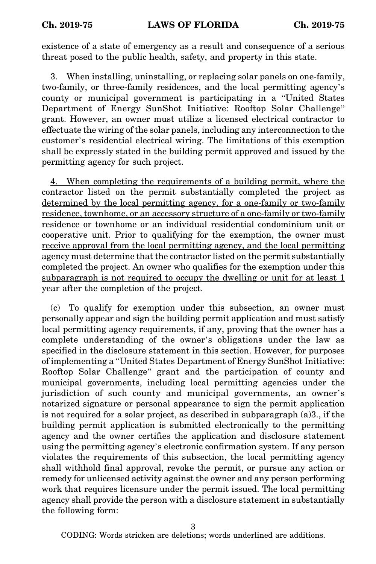existence of a state of emergency as a result and consequence of a serious threat posed to the public health, safety, and property in this state.

3. When installing, uninstalling, or replacing solar panels on one-family, two-family, or three-family residences, and the local permitting agency's county or municipal government is participating in a "United States Department of Energy SunShot Initiative: Rooftop Solar Challenge" grant. However, an owner must utilize a licensed electrical contractor to effectuate the wiring of the solar panels, including any interconnection to the customer's residential electrical wiring. The limitations of this exemption shall be expressly stated in the building permit approved and issued by the permitting agency for such project.

4. When completing the requirements of a building permit, where the contractor listed on the permit substantially completed the project as determined by the local permitting agency, for a one-family or two-family residence, townhome, or an accessory structure of a one-family or two-family residence or townhome or an individual residential condominium unit or cooperative unit. Prior to qualifying for the exemption, the owner must receive approval from the local permitting agency, and the local permitting agency must determine that the contractor listed on the permit substantially completed the project. An owner who qualifies for the exemption under this subparagraph is not required to occupy the dwelling or unit for at least 1 year after the completion of the project.

(c) To qualify for exemption under this subsection, an owner must personally appear and sign the building permit application and must satisfy local permitting agency requirements, if any, proving that the owner has a complete understanding of the owner's obligations under the law as specified in the disclosure statement in this section. However, for purposes of implementing a "United States Department of Energy SunShot Initiative: Rooftop Solar Challenge" grant and the participation of county and municipal governments, including local permitting agencies under the jurisdiction of such county and municipal governments, an owner's notarized signature or personal appearance to sign the permit application is not required for a solar project, as described in subparagraph (a)3., if the building permit application is submitted electronically to the permitting agency and the owner certifies the application and disclosure statement using the permitting agency's electronic confirmation system. If any person violates the requirements of this subsection, the local permitting agency shall withhold final approval, revoke the permit, or pursue any action or remedy for unlicensed activity against the owner and any person performing work that requires licensure under the permit issued. The local permitting agency shall provide the person with a disclosure statement in substantially the following form:

3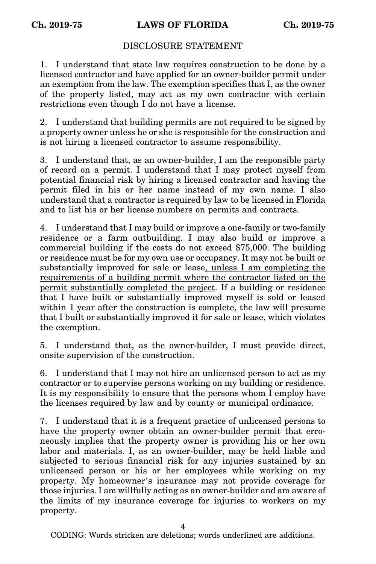## DISCLOSURE STATEMENT

1. I understand that state law requires construction to be done by a licensed contractor and have applied for an owner-builder permit under an exemption from the law. The exemption specifies that I, as the owner of the property listed, may act as my own contractor with certain restrictions even though I do not have a license.

2. I understand that building permits are not required to be signed by a property owner unless he or she is responsible for the construction and is not hiring a licensed contractor to assume responsibility.

3. I understand that, as an owner-builder, I am the responsible party of record on a permit. I understand that I may protect myself from potential financial risk by hiring a licensed contractor and having the permit filed in his or her name instead of my own name. I also understand that a contractor is required by law to be licensed in Florida and to list his or her license numbers on permits and contracts.

4. I understand that I may build or improve a one-family or two-family residence or a farm outbuilding. I may also build or improve a commercial building if the costs do not exceed \$75,000. The building or residence must be for my own use or occupancy. It may not be built or substantially improved for sale or lease, unless I am completing the requirements of a building permit where the contractor listed on the permit substantially completed the project. If a building or residence that I have built or substantially improved myself is sold or leased within 1 year after the construction is complete, the law will presume that I built or substantially improved it for sale or lease, which violates the exemption.

5. I understand that, as the owner-builder, I must provide direct, onsite supervision of the construction.

6. I understand that I may not hire an unlicensed person to act as my contractor or to supervise persons working on my building or residence. It is my responsibility to ensure that the persons whom I employ have the licenses required by law and by county or municipal ordinance.

7. I understand that it is a frequent practice of unlicensed persons to have the property owner obtain an owner-builder permit that erroneously implies that the property owner is providing his or her own labor and materials. I, as an owner-builder, may be held liable and subjected to serious financial risk for any injuries sustained by an unlicensed person or his or her employees while working on my property. My homeowner's insurance may not provide coverage for those injuries. I am willfully acting as an owner-builder and am aware of the limits of my insurance coverage for injuries to workers on my property.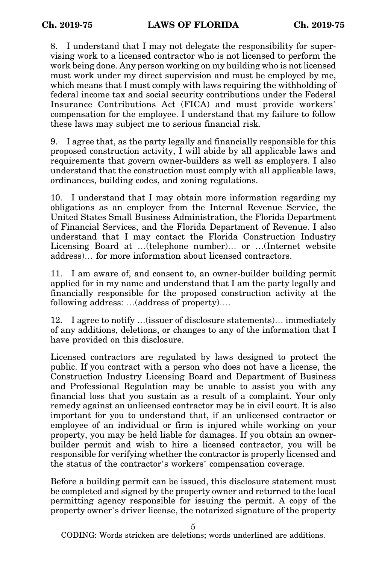8. I understand that I may not delegate the responsibility for supervising work to a licensed contractor who is not licensed to perform the work being done. Any person working on my building who is not licensed must work under my direct supervision and must be employed by me, which means that I must comply with laws requiring the withholding of federal income tax and social security contributions under the Federal Insurance Contributions Act (FICA) and must provide workers' compensation for the employee. I understand that my failure to follow these laws may subject me to serious financial risk.

9. I agree that, as the party legally and financially responsible for this proposed construction activity, I will abide by all applicable laws and requirements that govern owner-builders as well as employers. I also understand that the construction must comply with all applicable laws, ordinances, building codes, and zoning regulations.

10. I understand that I may obtain more information regarding my obligations as an employer from the Internal Revenue Service, the United States Small Business Administration, the Florida Department of Financial Services, and the Florida Department of Revenue. I also understand that I may contact the Florida Construction Industry Licensing Board at …(telephone number)… or …(Internet website address)… for more information about licensed contractors.

11. I am aware of, and consent to, an owner-builder building permit applied for in my name and understand that I am the party legally and financially responsible for the proposed construction activity at the following address: …(address of property)….

12. I agree to notify …(issuer of disclosure statements)… immediately of any additions, deletions, or changes to any of the information that I have provided on this disclosure.

Licensed contractors are regulated by laws designed to protect the public. If you contract with a person who does not have a license, the Construction Industry Licensing Board and Department of Business and Professional Regulation may be unable to assist you with any financial loss that you sustain as a result of a complaint. Your only remedy against an unlicensed contractor may be in civil court. It is also important for you to understand that, if an unlicensed contractor or employee of an individual or firm is injured while working on your property, you may be held liable for damages. If you obtain an ownerbuilder permit and wish to hire a licensed contractor, you will be responsible for verifying whether the contractor is properly licensed and the status of the contractor's workers' compensation coverage.

Before a building permit can be issued, this disclosure statement must be completed and signed by the property owner and returned to the local permitting agency responsible for issuing the permit. A copy of the property owner's driver license, the notarized signature of the property

5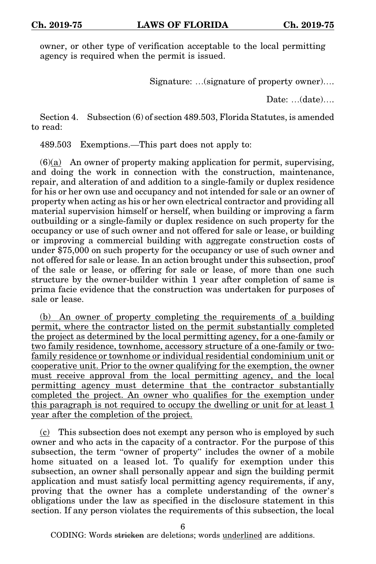owner, or other type of verification acceptable to the local permitting agency is required when the permit is issued.

Signature: …(signature of property owner)….

Date: …(date)….

Section 4. Subsection (6) of section 489.503, Florida Statutes, is amended to read:

489.503 Exemptions.—This part does not apply to:

 $(6)(a)$  An owner of property making application for permit, supervising, and doing the work in connection with the construction, maintenance, repair, and alteration of and addition to a single-family or duplex residence for his or her own use and occupancy and not intended for sale or an owner of property when acting as his or her own electrical contractor and providing all material supervision himself or herself, when building or improving a farm outbuilding or a single-family or duplex residence on such property for the occupancy or use of such owner and not offered for sale or lease, or building or improving a commercial building with aggregate construction costs of under \$75,000 on such property for the occupancy or use of such owner and not offered for sale or lease. In an action brought under this subsection, proof of the sale or lease, or offering for sale or lease, of more than one such structure by the owner-builder within 1 year after completion of same is prima facie evidence that the construction was undertaken for purposes of sale or lease.

(b) An owner of property completing the requirements of a building permit, where the contractor listed on the permit substantially completed the project as determined by the local permitting agency, for a one-family or two family residence, townhome, accessory structure of a one-family or twofamily residence or townhome or individual residential condominium unit or cooperative unit. Prior to the owner qualifying for the exemption, the owner must receive approval from the local permitting agency, and the local permitting agency must determine that the contractor substantially completed the project. An owner who qualifies for the exemption under this paragraph is not required to occupy the dwelling or unit for at least 1 year after the completion of the project.

(c) This subsection does not exempt any person who is employed by such owner and who acts in the capacity of a contractor. For the purpose of this subsection, the term "owner of property" includes the owner of a mobile home situated on a leased lot. To qualify for exemption under this subsection, an owner shall personally appear and sign the building permit application and must satisfy local permitting agency requirements, if any, proving that the owner has a complete understanding of the owner's obligations under the law as specified in the disclosure statement in this section. If any person violates the requirements of this subsection, the local

6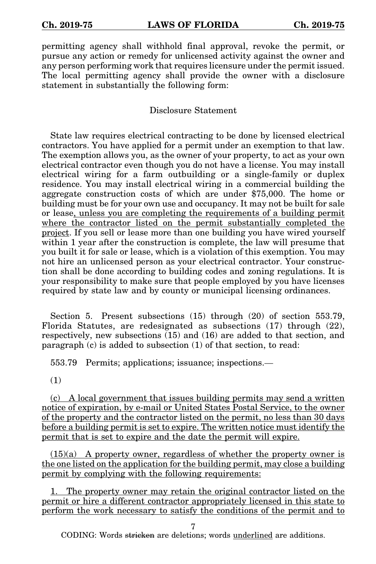permitting agency shall withhold final approval, revoke the permit, or pursue any action or remedy for unlicensed activity against the owner and any person performing work that requires licensure under the permit issued. The local permitting agency shall provide the owner with a disclosure statement in substantially the following form:

Disclosure Statement

State law requires electrical contracting to be done by licensed electrical contractors. You have applied for a permit under an exemption to that law. The exemption allows you, as the owner of your property, to act as your own electrical contractor even though you do not have a license. You may install electrical wiring for a farm outbuilding or a single-family or duplex residence. You may install electrical wiring in a commercial building the aggregate construction costs of which are under \$75,000. The home or building must be for your own use and occupancy. It may not be built for sale or lease, unless you are completing the requirements of a building permit where the contractor listed on the permit substantially completed the project. If you sell or lease more than one building you have wired yourself within 1 year after the construction is complete, the law will presume that you built it for sale or lease, which is a violation of this exemption. You may not hire an unlicensed person as your electrical contractor. Your construction shall be done according to building codes and zoning regulations. It is your responsibility to make sure that people employed by you have licenses required by state law and by county or municipal licensing ordinances.

Section 5. Present subsections (15) through (20) of section 553.79, Florida Statutes, are redesignated as subsections (17) through (22), respectively, new subsections (15) and (16) are added to that section, and paragraph (c) is added to subsection (1) of that section, to read:

553.79 Permits; applications; issuance; inspections.—

(1)

(c) A local government that issues building permits may send a written notice of expiration, by e-mail or United States Postal Service, to the owner of the property and the contractor listed on the permit, no less than 30 days before a building permit is set to expire. The written notice must identify the permit that is set to expire and the date the permit will expire.

 $(15)(a)$  A property owner, regardless of whether the property owner is the one listed on the application for the building permit, may close a building permit by complying with the following requirements:

1. The property owner may retain the original contractor listed on the permit or hire a different contractor appropriately licensed in this state to perform the work necessary to satisfy the conditions of the permit and to

7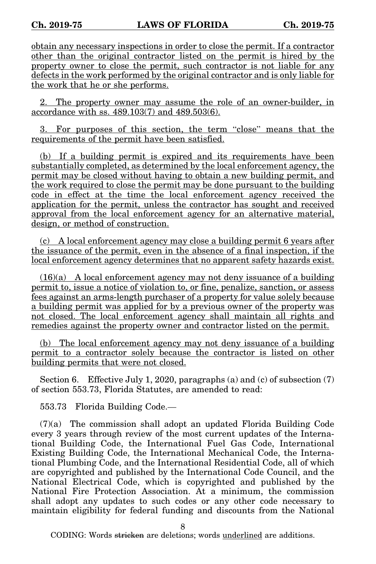obtain any necessary inspections in order to close the permit. If a contractor other than the original contractor listed on the permit is hired by the property owner to close the permit, such contractor is not liable for any defects in the work performed by the original contractor and is only liable for the work that he or she performs.

2. The property owner may assume the role of an owner-builder, in accordance with ss. 489.103(7) and 489.503(6).

3. For purposes of this section, the term "close" means that the requirements of the permit have been satisfied.

(b) If a building permit is expired and its requirements have been substantially completed, as determined by the local enforcement agency, the permit may be closed without having to obtain a new building permit, and the work required to close the permit may be done pursuant to the building code in effect at the time the local enforcement agency received the application for the permit, unless the contractor has sought and received approval from the local enforcement agency for an alternative material, design, or method of construction.

(c) A local enforcement agency may close a building permit 6 years after the issuance of the permit, even in the absence of a final inspection, if the local enforcement agency determines that no apparent safety hazards exist.

(16)(a) A local enforcement agency may not deny issuance of a building permit to, issue a notice of violation to, or fine, penalize, sanction, or assess fees against an arms-length purchaser of a property for value solely because a building permit was applied for by a previous owner of the property was not closed. The local enforcement agency shall maintain all rights and remedies against the property owner and contractor listed on the permit.

(b) The local enforcement agency may not deny issuance of a building permit to a contractor solely because the contractor is listed on other building permits that were not closed.

Section 6. Effective July 1, 2020, paragraphs (a) and (c) of subsection (7) of section 553.73, Florida Statutes, are amended to read:

553.73 Florida Building Code.—

(7)(a) The commission shall adopt an updated Florida Building Code every 3 years through review of the most current updates of the International Building Code, the International Fuel Gas Code, International Existing Building Code, the International Mechanical Code, the International Plumbing Code, and the International Residential Code, all of which are copyrighted and published by the International Code Council, and the National Electrical Code, which is copyrighted and published by the National Fire Protection Association. At a minimum, the commission shall adopt any updates to such codes or any other code necessary to maintain eligibility for federal funding and discounts from the National

8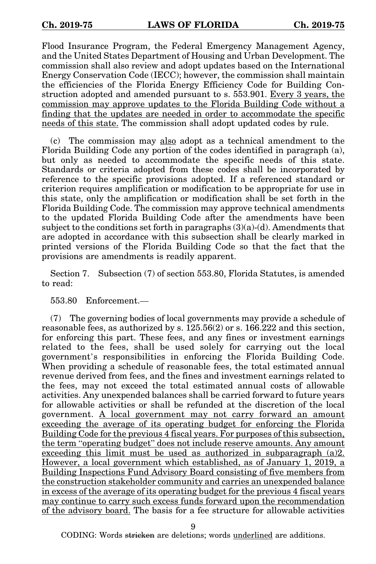Flood Insurance Program, the Federal Emergency Management Agency, and the United States Department of Housing and Urban Development. The commission shall also review and adopt updates based on the International Energy Conservation Code (IECC); however, the commission shall maintain the efficiencies of the Florida Energy Efficiency Code for Building Construction adopted and amended pursuant to s. 553.901. Every 3 years, the commission may approve updates to the Florida Building Code without a finding that the updates are needed in order to accommodate the specific needs of this state. The commission shall adopt updated codes by rule.

(c) The commission may also adopt as a technical amendment to the Florida Building Code any portion of the codes identified in paragraph (a), but only as needed to accommodate the specific needs of this state. Standards or criteria adopted from these codes shall be incorporated by reference to the specific provisions adopted. If a referenced standard or criterion requires amplification or modification to be appropriate for use in this state, only the amplification or modification shall be set forth in the Florida Building Code. The commission may approve technical amendments to the updated Florida Building Code after the amendments have been subject to the conditions set forth in paragraphs  $(3)(a)-(d)$ . Amendments that are adopted in accordance with this subsection shall be clearly marked in printed versions of the Florida Building Code so that the fact that the provisions are amendments is readily apparent.

Section 7. Subsection (7) of section 553.80, Florida Statutes, is amended to read:

553.80 Enforcement.—

(7) The governing bodies of local governments may provide a schedule of reasonable fees, as authorized by s. 125.56(2) or s. 166.222 and this section, for enforcing this part. These fees, and any fines or investment earnings related to the fees, shall be used solely for carrying out the local government's responsibilities in enforcing the Florida Building Code. When providing a schedule of reasonable fees, the total estimated annual revenue derived from fees, and the fines and investment earnings related to the fees, may not exceed the total estimated annual costs of allowable activities. Any unexpended balances shall be carried forward to future years for allowable activities or shall be refunded at the discretion of the local government. A local government may not carry forward an amount exceeding the average of its operating budget for enforcing the Florida Building Code for the previous 4 fiscal years. For purposes of this subsection, the term "operating budget" does not include reserve amounts. Any amount exceeding this limit must be used as authorized in subparagraph (a)2. However, a local government which established, as of January 1, 2019, a Building Inspections Fund Advisory Board consisting of five members from the construction stakeholder community and carries an unexpended balance in excess of the average of its operating budget for the previous 4 fiscal years may continue to carry such excess funds forward upon the recommendation of the advisory board. The basis for a fee structure for allowable activities

9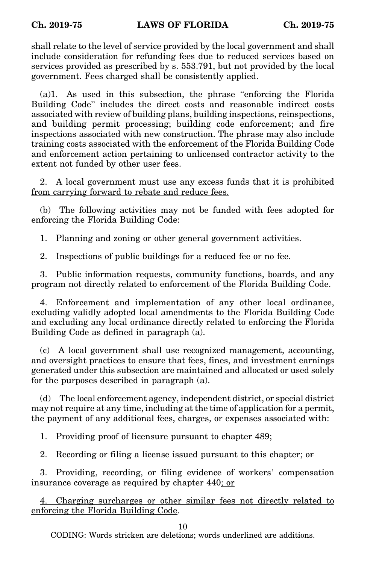shall relate to the level of service provided by the local government and shall include consideration for refunding fees due to reduced services based on services provided as prescribed by s. 553.791, but not provided by the local government. Fees charged shall be consistently applied.

(a)1. As used in this subsection, the phrase "enforcing the Florida Building Code" includes the direct costs and reasonable indirect costs associated with review of building plans, building inspections, reinspections, and building permit processing; building code enforcement; and fire inspections associated with new construction. The phrase may also include training costs associated with the enforcement of the Florida Building Code and enforcement action pertaining to unlicensed contractor activity to the extent not funded by other user fees.

2. A local government must use any excess funds that it is prohibited from carrying forward to rebate and reduce fees.

(b) The following activities may not be funded with fees adopted for enforcing the Florida Building Code:

1. Planning and zoning or other general government activities.

2. Inspections of public buildings for a reduced fee or no fee.

3. Public information requests, community functions, boards, and any program not directly related to enforcement of the Florida Building Code.

4. Enforcement and implementation of any other local ordinance, excluding validly adopted local amendments to the Florida Building Code and excluding any local ordinance directly related to enforcing the Florida Building Code as defined in paragraph (a).

(c) A local government shall use recognized management, accounting, and oversight practices to ensure that fees, fines, and investment earnings generated under this subsection are maintained and allocated or used solely for the purposes described in paragraph (a).

(d) The local enforcement agency, independent district, or special district may not require at any time, including at the time of application for a permit, the payment of any additional fees, charges, or expenses associated with:

1. Providing proof of licensure pursuant to chapter 489;

2. Recording or filing a license issued pursuant to this chapter; or

3. Providing, recording, or filing evidence of workers' compensation insurance coverage as required by chapter 440; or

4. Charging surcharges or other similar fees not directly related to enforcing the Florida Building Code.

10